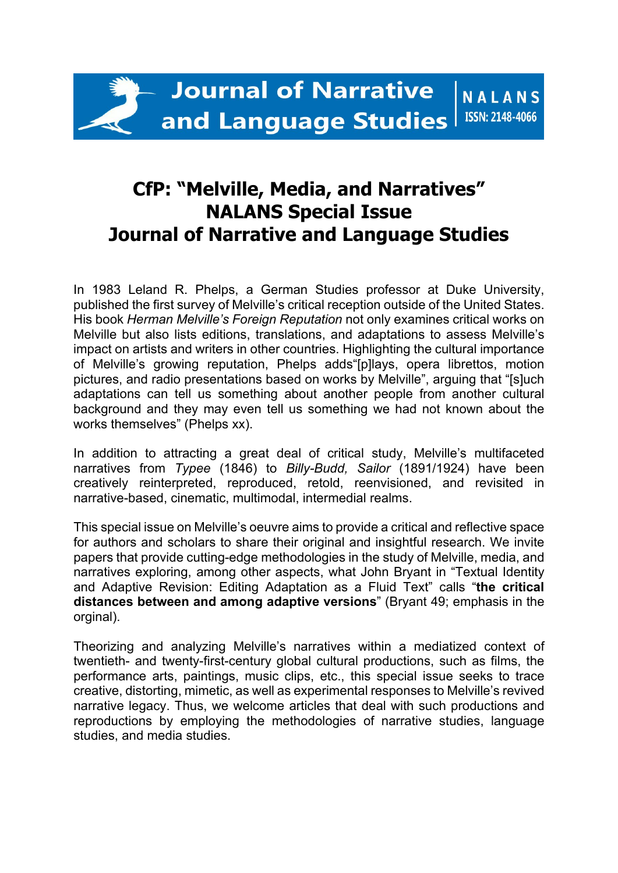## **CfP: "Melville, Media, and Narratives" NALANS Special Issue Journal of Narrative and Language Studies**

In 1983 Leland R. Phelps, a German Studies professor at Duke University, published the first survey of Melville's critical reception outside of the United States. His book *Herman Melville's Foreign Reputation* not only examines critical works on Melville but also lists editions, translations, and adaptations to assess Melville's impact on artists and writers in other countries. Highlighting the cultural importance of Melville's growing reputation, Phelps adds"[p]lays, opera librettos, motion pictures, and radio presentations based on works by Melville", arguing that "[s]uch adaptations can tell us something about another people from another cultural background and they may even tell us something we had not known about the works themselves" (Phelps xx).

In addition to attracting a great deal of critical study, Melville's multifaceted narratives from *Typee* (1846) to *Billy-Budd, Sailor* (1891/1924) have been creatively reinterpreted, reproduced, retold, reenvisioned, and revisited in narrative-based, cinematic, multimodal, intermedial realms.

This special issue on Melville's oeuvre aims to provide a critical and reflective space for authors and scholars to share their original and insightful research. We invite papers that provide cutting-edge methodologies in the study of Melville, media, and narratives exploring, among other aspects, what John Bryant in "Textual Identity and Adaptive Revision: Editing Adaptation as a Fluid Text" calls "**the critical distances between and among adaptive versions**" (Bryant 49; emphasis in the orginal).

Theorizing and analyzing Melville's narratives within a mediatized context of twentieth- and twenty-first-century global cultural productions, such as films, the performance arts, paintings, music clips, etc., this special issue seeks to trace creative, distorting, mimetic, as well as experimental responses to Melville's revived narrative legacy. Thus, we welcome articles that deal with such productions and reproductions by employing the methodologies of narrative studies, language studies, and media studies.